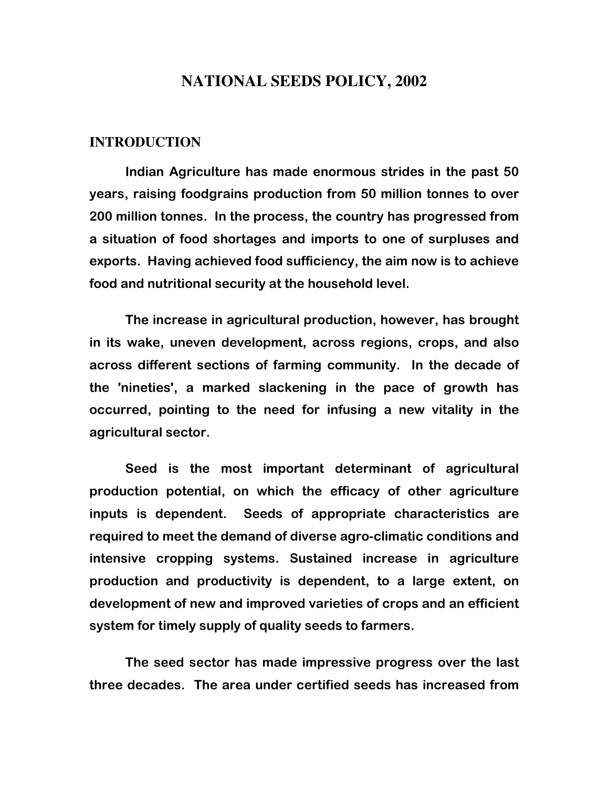# **NATIONAL SEEDS POLICY, 2002**

#### **INTRODUCTION**

Indian Agriculture has made enormous strides in the past 50 years, raising foodgrains production from 50 million tonnes to over 200 million tonnes. In the process, the country has progressed from a situation of food shortages and imports to one of surpluses and exports. Having achieved food sufficiency, the aim now is to achieve food and nutritional security at the household level.

The increase in agricultural production, however, has brought in its wake, uneven development, across regions, crops, and also across different sections of farming community. In the decade of the 'nineties', a marked slackening in the pace of growth has occurred, pointing to the need for infusing a new vitality in the agricultural sector.

 Seed is the most important determinant of agricultural production potential, on which the efficacy of other agriculture inputs is dependent. Seeds of appropriate characteristics are required to meet the demand of diverse agro-climatic conditions and intensive cropping systems. Sustained increase in agriculture production and productivity is dependent, to a large extent, on development of new and improved varieties of crops and an efficient system for timely supply of quality seeds to farmers.

The seed sector has made impressive progress over the last three decades. The area under certified seeds has increased from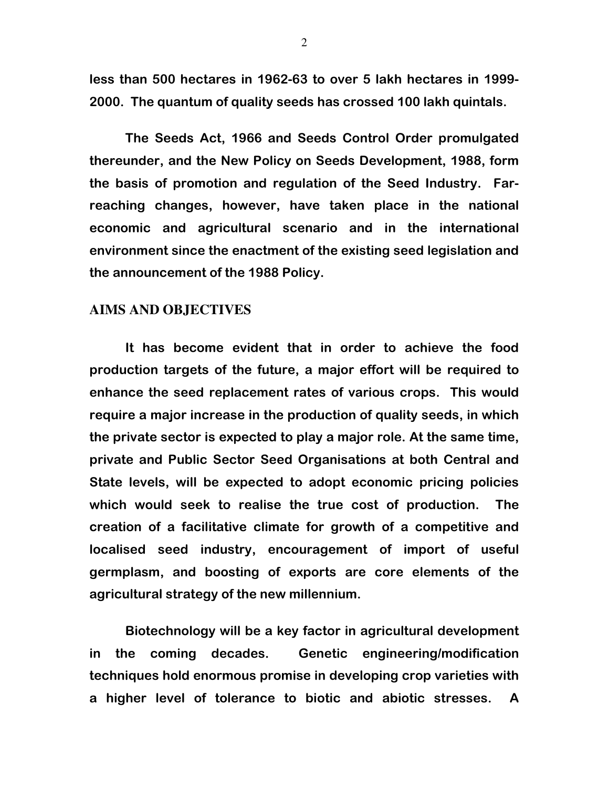less than 500 hectares in 1962-63 to over 5 lakh hectares in 1999- 2000. The quantum of quality seeds has crossed 100 lakh quintals.

 The Seeds Act, 1966 and Seeds Control Order promulgated thereunder, and the New Policy on Seeds Development, 1988, form the basis of promotion and regulation of the Seed Industry. Farreaching changes, however, have taken place in the national economic and agricultural scenario and in the international environment since the enactment of the existing seed legislation and the announcement of the 1988 Policy.

#### **AIMS AND OBJECTIVES**

 It has become evident that in order to achieve the food production targets of the future, a major effort will be required to enhance the seed replacement rates of various crops. This would require a major increase in the production of quality seeds, in which the private sector is expected to play a major role. At the same time, private and Public Sector Seed Organisations at both Central and State levels, will be expected to adopt economic pricing policies which would seek to realise the true cost of production. The creation of a facilitative climate for growth of a competitive and localised seed industry, encouragement of import of useful germplasm, and boosting of exports are core elements of the agricultural strategy of the new millennium.

 Biotechnology will be a key factor in agricultural development in the coming decades. Genetic engineering/modification techniques hold enormous promise in developing crop varieties with a higher level of tolerance to biotic and abiotic stresses. A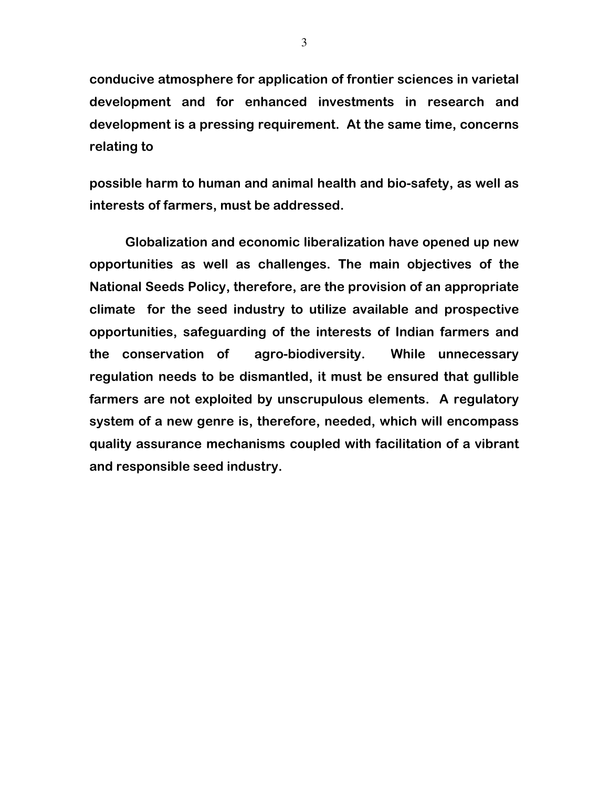conducive atmosphere for application of frontier sciences in varietal development and for enhanced investments in research and development is a pressing requirement. At the same time, concerns relating to

possible harm to human and animal health and bio-safety, as well as interests of farmers, must be addressed.

 Globalization and economic liberalization have opened up new opportunities as well as challenges. The main objectives of the National Seeds Policy, therefore, are the provision of an appropriate climate for the seed industry to utilize available and prospective opportunities, safeguarding of the interests of Indian farmers and the conservation of agro-biodiversity. While unnecessary regulation needs to be dismantled, it must be ensured that gullible farmers are not exploited by unscrupulous elements. A regulatory system of a new genre is, therefore, needed, which will encompass quality assurance mechanisms coupled with facilitation of a vibrant and responsible seed industry.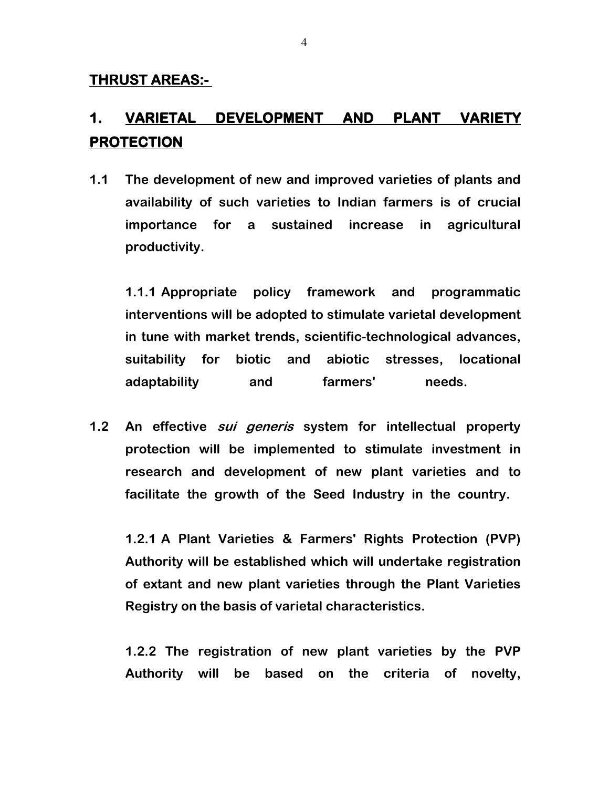# 1. VARIETAL DEVELOPMENT AND PLANT VARIETY PROTECTION

1.1 The development of new and improved varieties of plants and availability of such varieties to Indian farmers is of crucial importance for a sustained increase in agricultural productivity.

1.1.1 Appropriate policy framework and programmatic interventions will be adopted to stimulate varietal development in tune with market trends, scientific-technological advances, suitability for biotic and abiotic stresses, locational adaptability and farmers' needs.

1.2 An effective *sui generis* system for intellectual property protection will be implemented to stimulate investment in research and development of new plant varieties and to facilitate the growth of the Seed Industry in the country.

1.2.1 A Plant Varieties & Farmers' Rights Protection (PVP) Authority will be established which will undertake registration of extant and new plant varieties through the Plant Varieties Registry on the basis of varietal characteristics.

1.2.2 The registration of new plant varieties by the PVP Authority will be based on the criteria of novelty,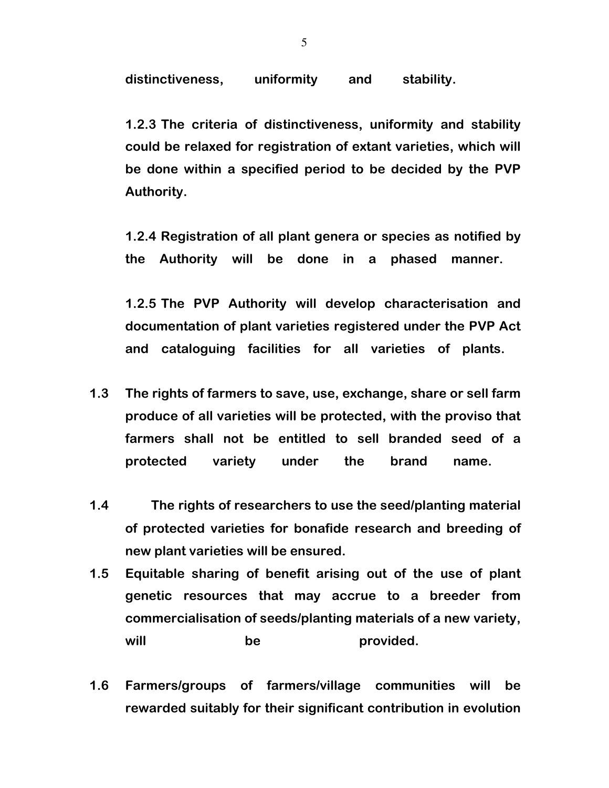distinctiveness, uniformity and stability.

1.2.3 The criteria of distinctiveness, uniformity and stability could be relaxed for registration of extant varieties, which will be done within a specified period to be decided by the PVP Authority.

1.2.4 Registration of all plant genera or species as notified by the Authority will be done in a phased manner.

1.2.5 The PVP Authority will develop characterisation and documentation of plant varieties registered under the PVP Act and cataloguing facilities for all varieties of plants.

- 1.3 The rights of farmers to save, use, exchange, share or sell farm produce of all varieties will be protected, with the proviso that farmers shall not be entitled to sell branded seed of a protected variety under the brand name.
- 1.4 The rights of researchers to use the seed/planting material of protected varieties for bonafide research and breeding of new plant varieties will be ensured.
- 1.5 Equitable sharing of benefit arising out of the use of plant genetic resources that may accrue to a breeder from commercialisation of seeds/planting materials of a new variety, will be provided.
- 1.6 Farmers/groups of farmers/village communities will be rewarded suitably for their significant contribution in evolution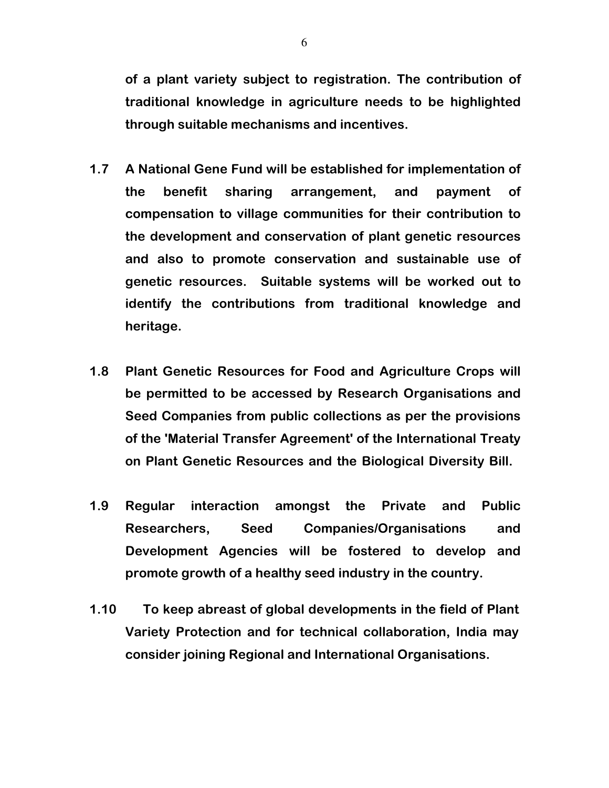of a plant variety subject to registration. The contribution of traditional knowledge in agriculture needs to be highlighted through suitable mechanisms and incentives.

- 1.7 A National Gene Fund will be established for implementation of the benefit sharing arrangement, and payment of compensation to village communities for their contribution to the development and conservation of plant genetic resources and also to promote conservation and sustainable use of genetic resources. Suitable systems will be worked out to identify the contributions from traditional knowledge and heritage.
- 1.8 Plant Genetic Resources for Food and Agriculture Crops will be permitted to be accessed by Research Organisations and Seed Companies from public collections as per the provisions of the 'Material Transfer Agreement' of the International Treaty on Plant Genetic Resources and the Biological Diversity Bill.
- 1.9 Regular interaction amongst the Private and Public Researchers, Seed Companies/Organisations and Development Agencies will be fostered to develop and promote growth of a healthy seed industry in the country.
- 1.10 To keep abreast of global developments in the field of Plant Variety Protection and for technical collaboration, India may consider joining Regional and International Organisations.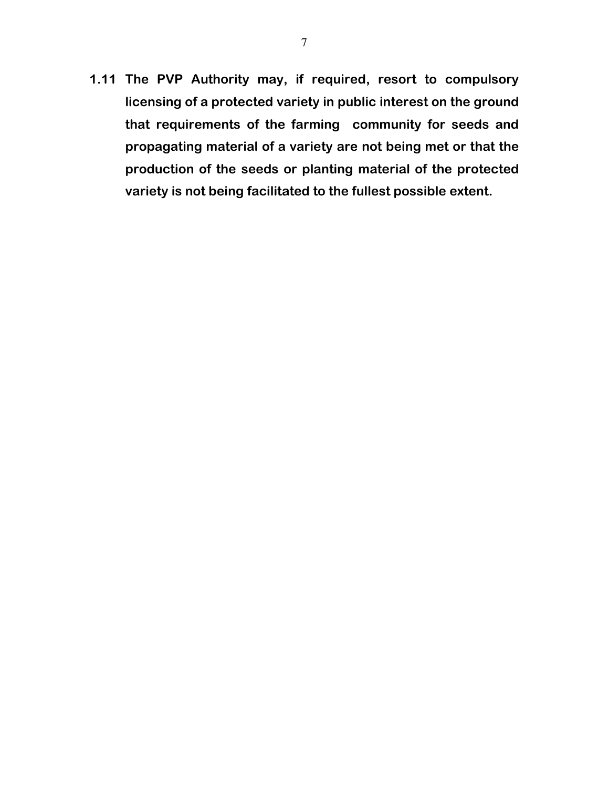1.11 The PVP Authority may, if required, resort to compulsory licensing of a protected variety in public interest on the ground that requirements of the farming community for seeds and propagating material of a variety are not being met or that the production of the seeds or planting material of the protected variety is not being facilitated to the fullest possible extent.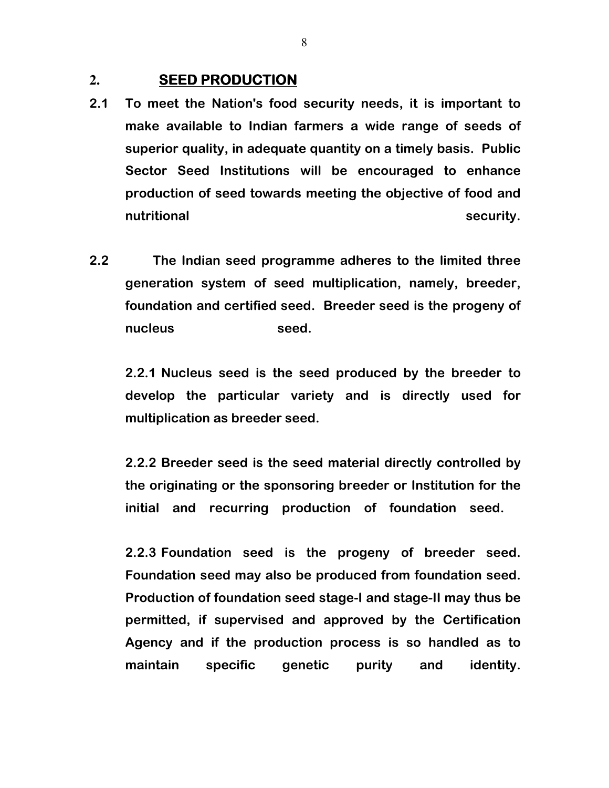#### **2.** SEED PRODUCTION

- 2.1 To meet the Nation's food security needs, it is important to make available to Indian farmers a wide range of seeds of superior quality, in adequate quantity on a timely basis. Public Sector Seed Institutions will be encouraged to enhance production of seed towards meeting the objective of food and nutritional security.
- 2.2 The Indian seed programme adheres to the limited three generation system of seed multiplication, namely, breeder, foundation and certified seed. Breeder seed is the progeny of nucleus seed.

2.2.1 Nucleus seed is the seed produced by the breeder to develop the particular variety and is directly used for multiplication as breeder seed.

2.2.2 Breeder seed is the seed material directly controlled by the originating or the sponsoring breeder or Institution for the initial and recurring production of foundation seed.

2.2.3 Foundation seed is the progeny of breeder seed. Foundation seed may also be produced from foundation seed. Production of foundation seed stage-I and stage-II may thus be permitted, if supervised and approved by the Certification Agency and if the production process is so handled as to maintain specific genetic purity and identity.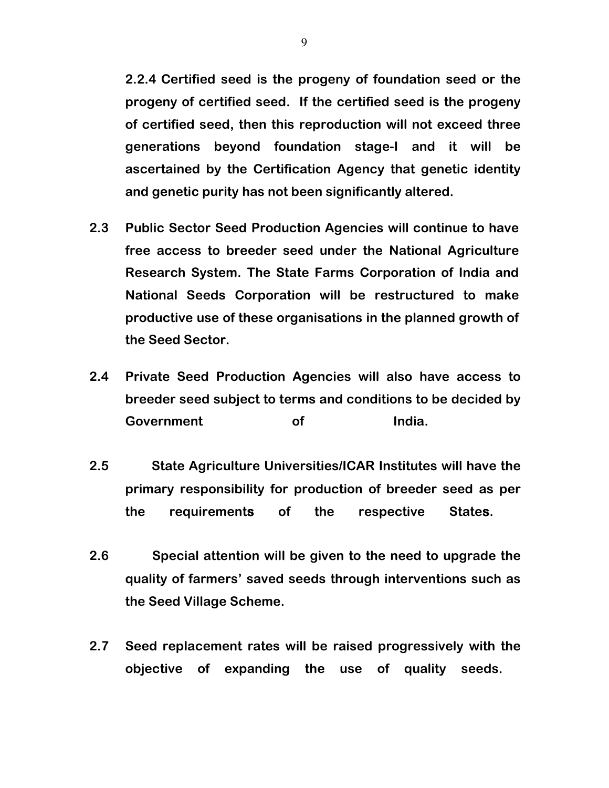2.2.4 Certified seed is the progeny of foundation seed or the progeny of certified seed. If the certified seed is the progeny of certified seed, then this reproduction will not exceed three generations beyond foundation stage-I and it will be ascertained by the Certification Agency that genetic identity and genetic purity has not been significantly altered.

- 2.3 Public Sector Seed Production Agencies will continue to have free access to breeder seed under the National Agriculture Research System. The State Farms Corporation of India and National Seeds Corporation will be restructured to make productive use of these organisations in the planned growth of the Seed Sector.
- 2.4 Private Seed Production Agencies will also have access to breeder seed subject to terms and conditions to be decided by Government of India.
- 2.5 State Agriculture Universities/ICAR Institutes will have the primary responsibility for production of breeder seed as per the requirements of the respective States.
- 2.6 Special attention will be given to the need to upgrade the quality of farmers' saved seeds through interventions such as the Seed Village Scheme.
- 2.7 Seed replacement rates will be raised progressively with the objective of expanding the use of quality seeds.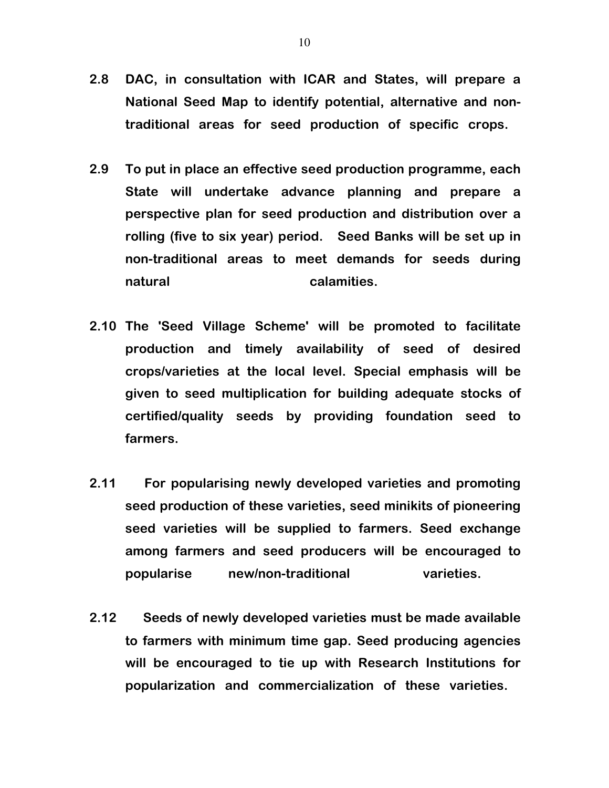- 2.8 DAC, in consultation with ICAR and States, will prepare a National Seed Map to identify potential, alternative and nontraditional areas for seed production of specific crops.
- 2.9 To put in place an effective seed production programme, each State will undertake advance planning and prepare a perspective plan for seed production and distribution over a rolling (five to six year) period. Seed Banks will be set up in non-traditional areas to meet demands for seeds during natural calamities.
- 2.10 The 'Seed Village Scheme' will be promoted to facilitate production and timely availability of seed of desired crops/varieties at the local level. Special emphasis will be given to seed multiplication for building adequate stocks of certified/quality seeds by providing foundation seed to farmers.
- 2.11 For popularising newly developed varieties and promoting seed production of these varieties, seed minikits of pioneering seed varieties will be supplied to farmers. Seed exchange among farmers and seed producers will be encouraged to popularise new/non-traditional varieties.
- 2.12 Seeds of newly developed varieties must be made available to farmers with minimum time gap. Seed producing agencies will be encouraged to tie up with Research Institutions for popularization and commercialization of these varieties.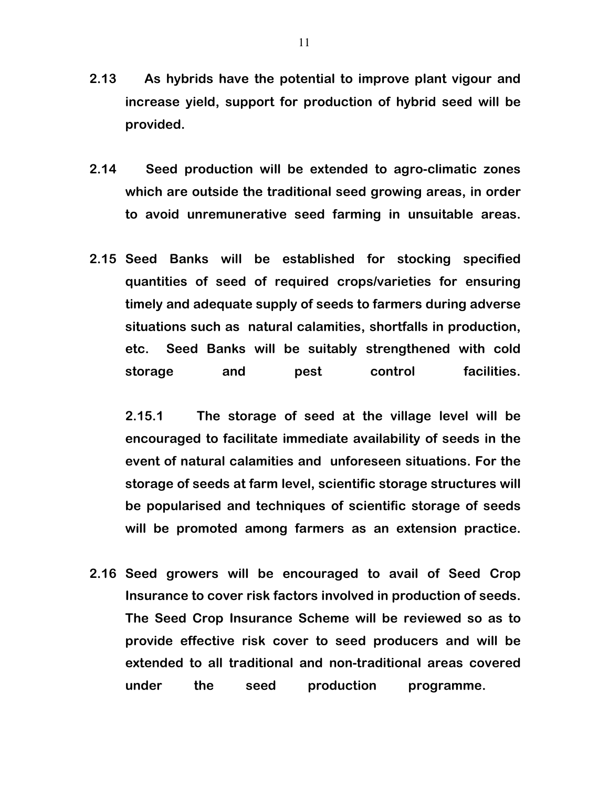- 2.13 As hybrids have the potential to improve plant vigour and increase yield, support for production of hybrid seed will be provided.
- 2.14 Seed production will be extended to agro-climatic zones which are outside the traditional seed growing areas, in order to avoid unremunerative seed farming in unsuitable areas.
- 2.15 Seed Banks will be established for stocking specified quantities of seed of required crops/varieties for ensuring timely and adequate supply of seeds to farmers during adverse situations such as natural calamities, shortfalls in production, etc. Seed Banks will be suitably strengthened with cold storage and pest control facilities.

2.15.1 The storage of seed at the village level will be encouraged to facilitate immediate availability of seeds in the event of natural calamities and unforeseen situations. For the storage of seeds at farm level, scientific storage structures will be popularised and techniques of scientific storage of seeds will be promoted among farmers as an extension practice.

2.16 Seed growers will be encouraged to avail of Seed Crop Insurance to cover risk factors involved in production of seeds. The Seed Crop Insurance Scheme will be reviewed so as to provide effective risk cover to seed producers and will be extended to all traditional and non-traditional areas covered under the seed production programme.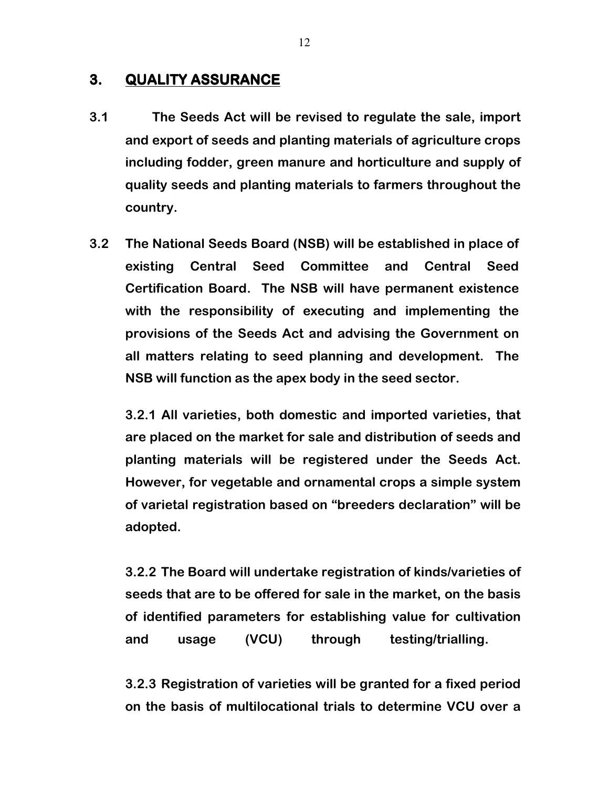#### 3. QUALITY ASSURANCE

- 3.1 The Seeds Act will be revised to regulate the sale, import and export of seeds and planting materials of agriculture crops including fodder, green manure and horticulture and supply of quality seeds and planting materials to farmers throughout the country.
- 3.2 The National Seeds Board (NSB) will be established in place of existing Central Seed Committee and Central Seed Certification Board. The NSB will have permanent existence with the responsibility of executing and implementing the provisions of the Seeds Act and advising the Government on all matters relating to seed planning and development. The NSB will function as the apex body in the seed sector.

3.2.1 All varieties, both domestic and imported varieties, that are placed on the market for sale and distribution of seeds and planting materials will be registered under the Seeds Act. However, for vegetable and ornamental crops a simple system of varietal registration based on "breeders declaration" will be adopted.

3.2.2 The Board will undertake registration of kinds/varieties of seeds that are to be offered for sale in the market, on the basis of identified parameters for establishing value for cultivation and usage (VCU) through testing/trialling.

3.2.3 Registration of varieties will be granted for a fixed period on the basis of multilocational trials to determine VCU over a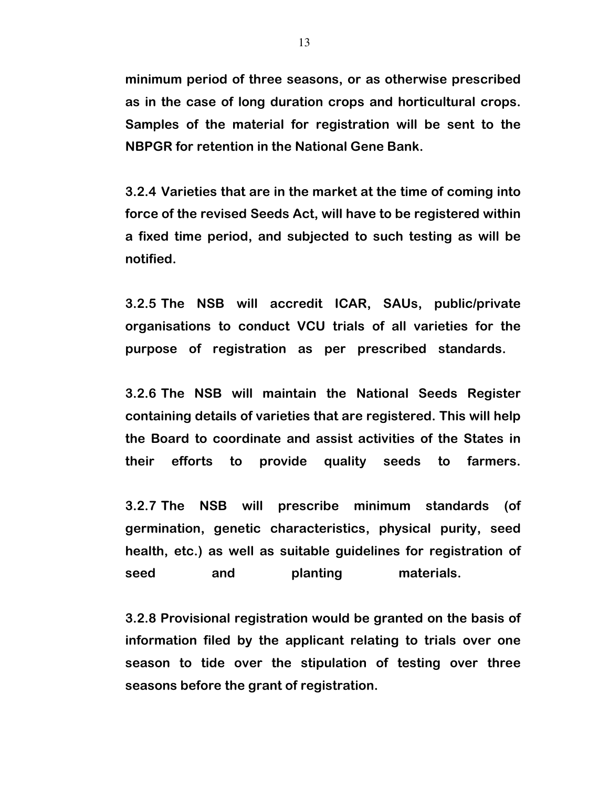minimum period of three seasons, or as otherwise prescribed as in the case of long duration crops and horticultural crops. Samples of the material for registration will be sent to the NBPGR for retention in the National Gene Bank.

3.2.4 Varieties that are in the market at the time of coming into force of the revised Seeds Act, will have to be registered within a fixed time period, and subjected to such testing as will be notified.

3.2.5 The NSB will accredit ICAR, SAUs, public/private organisations to conduct VCU trials of all varieties for the purpose of registration as per prescribed standards.

3.2.6 The NSB will maintain the National Seeds Register containing details of varieties that are registered.This will help the Board to coordinate and assist activities of the States in their efforts to provide quality seeds to farmers.

3.2.7 The NSB will prescribe minimum standards (of germination, genetic characteristics, physical purity, seed health, etc.) as well as suitable guidelines for registration of seed and planting materials.

3.2.8 Provisional registration would be granted on the basis of information filed by the applicant relating to trials over one season to tide over the stipulation of testing over three seasons before the grant of registration.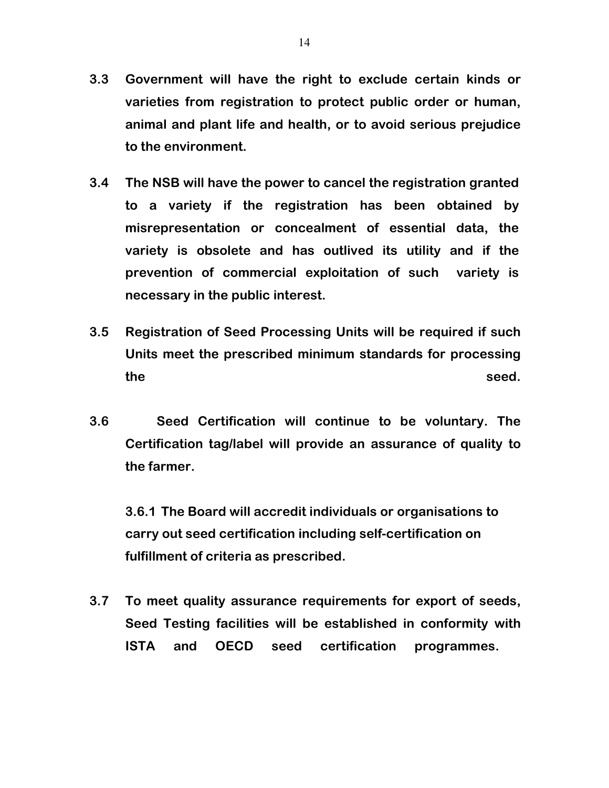- 3.3 Government will have the right to exclude certain kinds or varieties from registration to protect public order or human, animal and plant life and health, or to avoid serious prejudice to the environment.
- 3.4 The NSB will have the power to cancel the registration granted to a variety if the registration has been obtained by misrepresentation or concealment of essential data, the variety is obsolete and has outlived its utility and if the prevention of commercial exploitation of such variety is necessary in the public interest.
- 3.5 Registration of Seed Processing Units will be required if such Units meet the prescribed minimum standards for processing the seed.
- 3.6 Seed Certification will continue to be voluntary. The Certification tag/label will provide an assurance of quality to the farmer.

3.6.1 The Board will accredit individuals or organisations to carry out seed certification including self-certification on fulfillment of criteria as prescribed.

3.7 To meet quality assurance requirements for export of seeds, Seed Testing facilities will be established in conformity with ISTA and OECD seed certification programmes.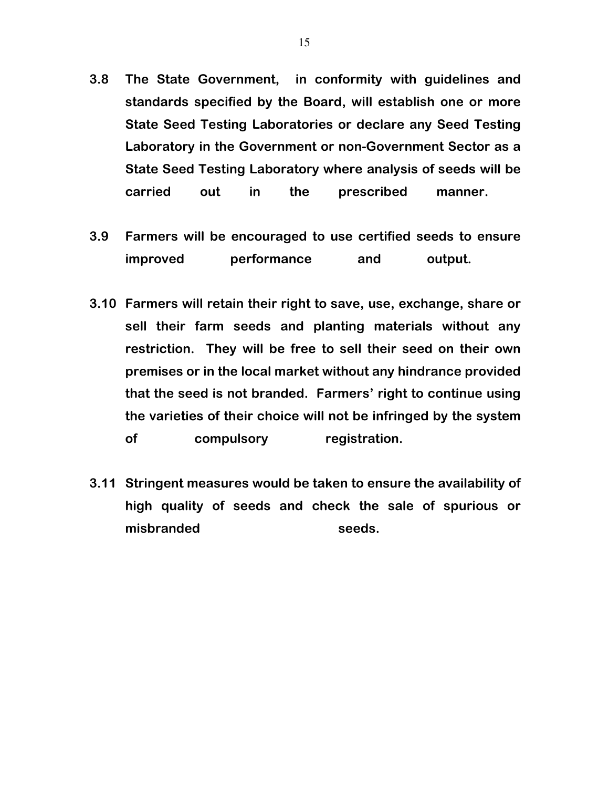- 3.8 The State Government, in conformity with guidelines and standards specified by the Board, will establish one or more State Seed Testing Laboratories or declare any Seed Testing Laboratory in the Government or non-Government Sector as a State Seed Testing Laboratory where analysis of seeds will be carried out in the prescribed manner.
- 3.9 Farmers will be encouraged to use certified seeds to ensure improved performance and output.
- 3.10 Farmers will retain their right to save, use, exchange, share or sell their farm seeds and planting materials without any restriction. They will be free to sell their seed on their own premises or in the local market without any hindrance provided that the seed is not branded. Farmers' right to continue using the varieties of their choice will not be infringed by the system of compulsory registration.
- 3.11 Stringent measures would be taken to ensure the availability of high quality of seeds and check the sale of spurious or misbranded seeds.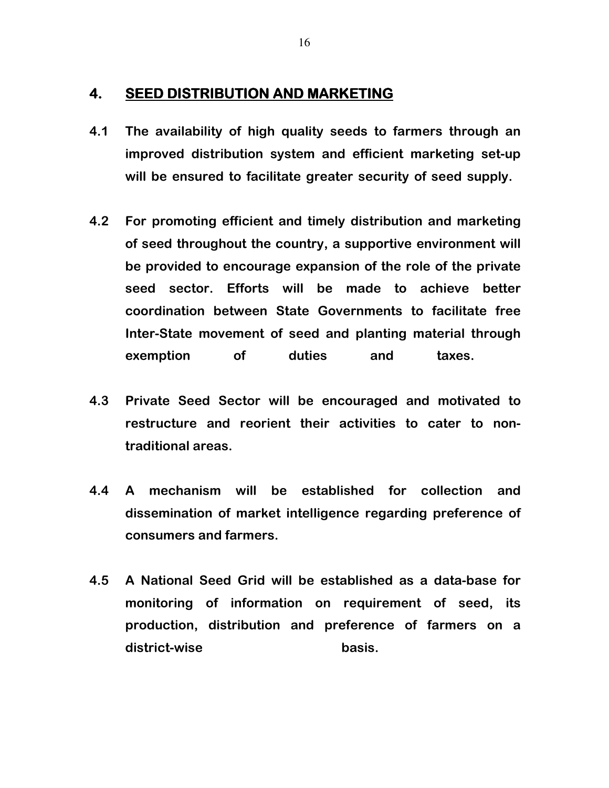#### 4. SEED DISTRIBUTION AND MARKETING

- 4.1 The availability of high quality seeds to farmers through an improved distribution system and efficient marketing set-up will be ensured to facilitate greater security of seed supply.
- 4.2 For promoting efficient and timely distribution and marketing of seed throughout the country, a supportive environment will be provided to encourage expansion of the role of the private seed sector. Efforts will be made to achieve better coordination between State Governments to facilitate free Inter-State movement of seed and planting material through exemption of duties and taxes.
- 4.3 Private Seed Sector will be encouraged and motivated to restructure and reorient their activities to cater to nontraditional areas.
- 4.4 A mechanism will be established for collection and dissemination of market intelligence regarding preference of consumers and farmers.
- 4.5 A National Seed Grid will be established as a data-base for monitoring of information on requirement of seed, its production, distribution and preference of farmers on a district-wise basis.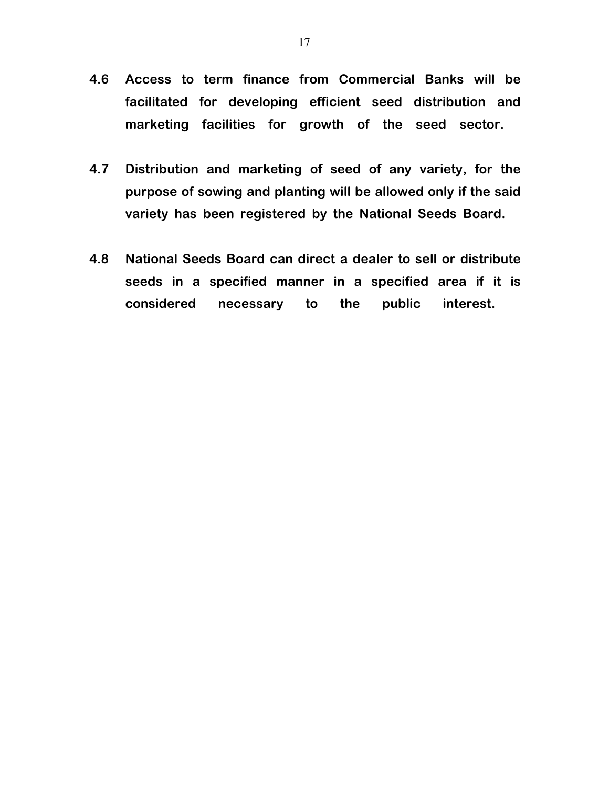- 4.6 Access to term finance from Commercial Banks will be facilitated for developing efficient seed distribution and marketing facilities for growth of the seed sector.
- 4.7 Distribution and marketing of seed of any variety, for the purpose of sowing and planting will be allowed only if the said variety has been registered by the National Seeds Board.
- 4.8 National Seeds Board can direct a dealer to sell or distribute seeds in a specified manner in a specified area if it is considered necessary to the public interest.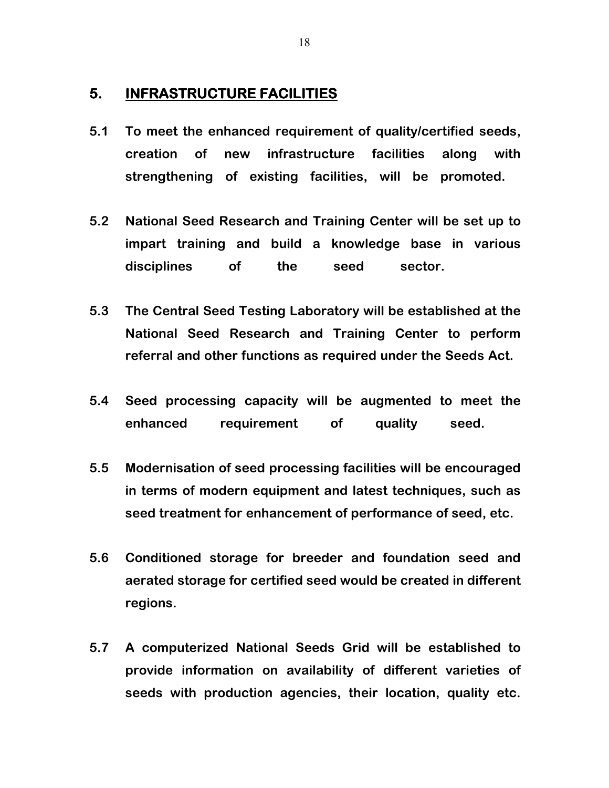#### 5. **INFRASTRUCTURE FACILITIES**

- 5.1 To meet the enhanced requirement of quality/certified seeds, creation of new infrastructure facilities along with strengthening of existing facilities, will be promoted.
- 5.2 National Seed Research and Training Center will be set up to impart training and build a knowledge base in various disciplines of the seed sector.
- 5.3 The Central Seed Testing Laboratory will be established at the National Seed Research and Training Center to perform referral and other functions as required under the Seeds Act.
- 5.4 Seed processing capacity will be augmented to meet the enhanced requirement of quality seed.
- 5.5 Modernisation of seed processing facilities will be encouraged in terms of modern equipment and latest techniques, such as seed treatment for enhancement of performance of seed, etc.
- 5.6 Conditioned storage for breeder and foundation seed and aerated storage for certified seed would be created in different regions.
- 5.7 A computerized National Seeds Grid will be established to provide information on availability of different varieties of seeds with production agencies, their location, quality etc.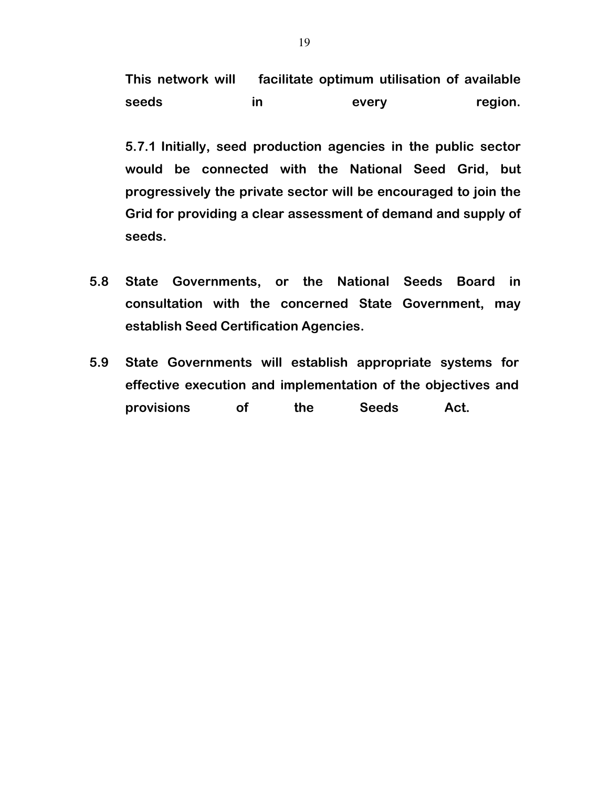This network will facilitate optimum utilisation of available seeds in every region.

5.7.1 Initially, seed production agencies in the public sector would be connected with the National Seed Grid, but progressively the private sector will be encouraged to join the Grid for providing a clear assessment of demand and supply of seeds.

- 5.8 State Governments, or the National Seeds Board in consultation with the concerned State Government, may establish Seed Certification Agencies.
- 5.9 State Governments will establish appropriate systems for effective execution and implementation of the objectives and provisions of the Seeds Act.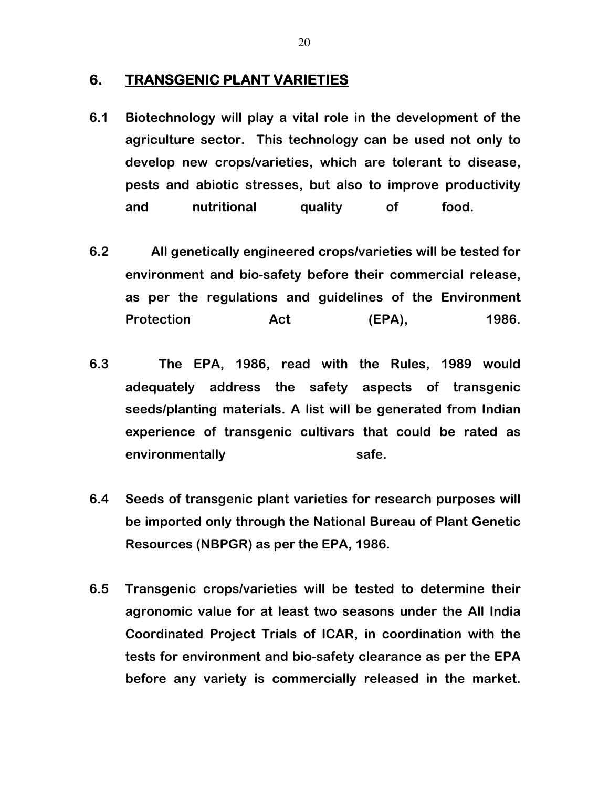#### 6. TRANSGENIC PLANT VARIETIES

- 6.1 Biotechnology will play a vital role in the development of the agriculture sector. This technology can be used not only to develop new crops/varieties, which are tolerant to disease, pests and abiotic stresses, but also to improve productivity and nutritional quality of food.
- 6.2 All genetically engineered crops/varieties will be tested for environment and bio-safety before their commercial release, as per the regulations and guidelines of the Environment Protection **Act** (EPA), 1986.
- 6.3 The EPA, 1986, read with the Rules, 1989 would adequately address the safety aspects of transgenic seeds/planting materials. A list will be generated from Indian experience of transgenic cultivars that could be rated as environmentally safe.
- 6.4 Seeds of transgenic plant varieties for research purposes will be imported only through the National Bureau of Plant Genetic Resources (NBPGR) as per the EPA, 1986.
- 6.5 Transgenic crops/varieties will be tested to determine their agronomic value for at least two seasons under the All India Coordinated Project Trials of ICAR, in coordination with the tests for environment and bio-safety clearance as per the EPA before any variety is commercially released in the market.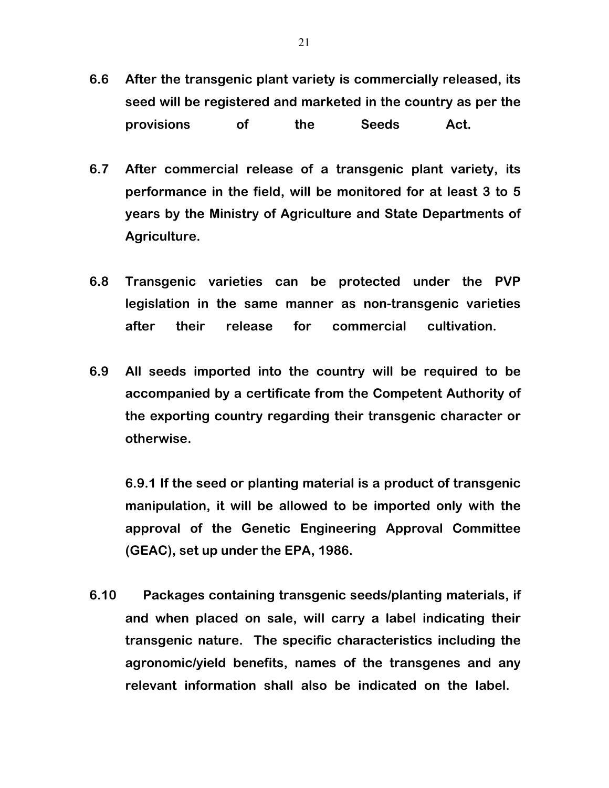- 6.6 After the transgenic plant variety is commercially released, its seed will be registered and marketed in the country as per the provisions of the Seeds Act.
- 6.7 After commercial release of a transgenic plant variety, its performance in the field, will be monitored for at least 3 to 5 years by the Ministry of Agriculture and State Departments of Agriculture.
- 6.8 Transgenic varieties can be protected under the PVP legislation in the same manner as non-transgenic varieties after their release for commercial cultivation.
- 6.9 All seeds imported into the country will be required to be accompanied by a certificate from the Competent Authority of the exporting country regarding their transgenic character or otherwise.

6.9.1 If the seed or planting material is a product of transgenic manipulation, it will be allowed to be imported only with the approval of the Genetic Engineering Approval Committee (GEAC), set up under the EPA, 1986.

6.10 Packages containing transgenic seeds/planting materials, if and when placed on sale, will carry a label indicating their transgenic nature. The specific characteristics including the agronomic/yield benefits, names of the transgenes and any relevant information shall also be indicated on the label.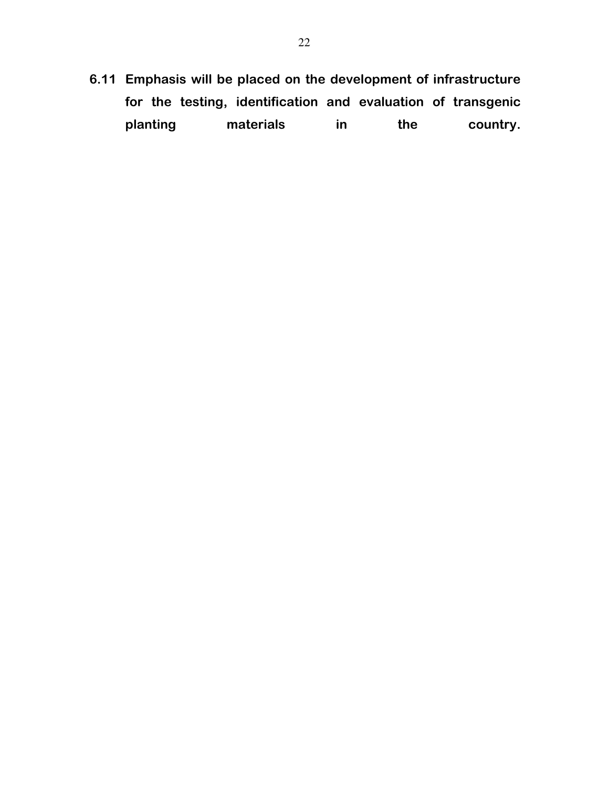6.11 Emphasis will be placed on the development of infrastructure for the testing, identification and evaluation of transgenic planting materials in the country.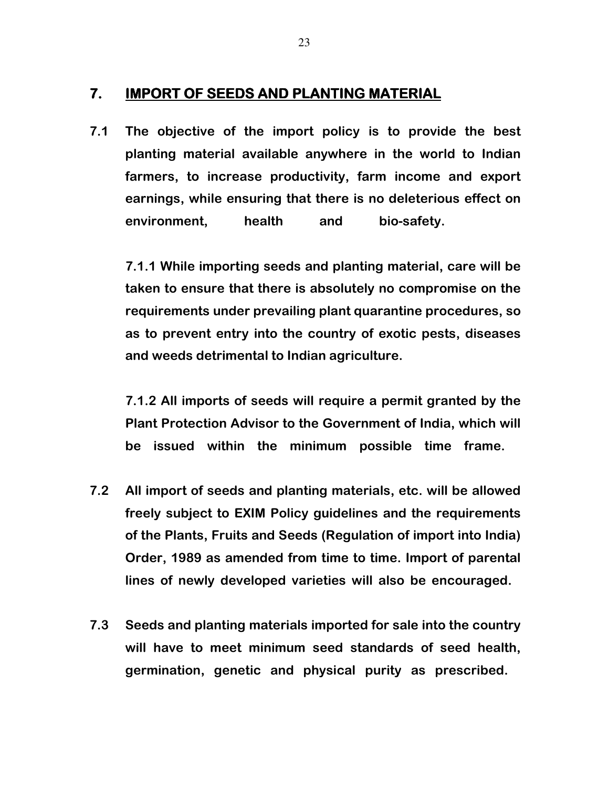### 7. IMPORT OF SEEDS AND PLANTING MATERIAL

7.1 The objective of the import policy is to provide the best planting material available anywhere in the world to Indian farmers, to increase productivity, farm income and export earnings, while ensuring that there is no deleterious effect on environment, health and bio-safety.

7.1.1 While importing seeds and planting material, care will be taken to ensure that there is absolutely no compromise on the requirements under prevailing plant quarantine procedures, so as to prevent entry into the country of exotic pests, diseases and weeds detrimental to Indian agriculture.

7.1.2 All imports of seeds will require a permit granted by the Plant Protection Advisor to the Government of India, which will be issued within the minimum possible time frame.

- 7.2 All import of seeds and planting materials, etc. will be allowed freely subject to EXIM Policy guidelines and the requirements of the Plants, Fruits and Seeds (Regulation of import into India) Order, 1989 as amended from time to time. Import of parental lines of newly developed varieties will also be encouraged.
- 7.3 Seeds and planting materials imported for sale into the country will have to meet minimum seed standards of seed health, germination, genetic and physical purity as prescribed.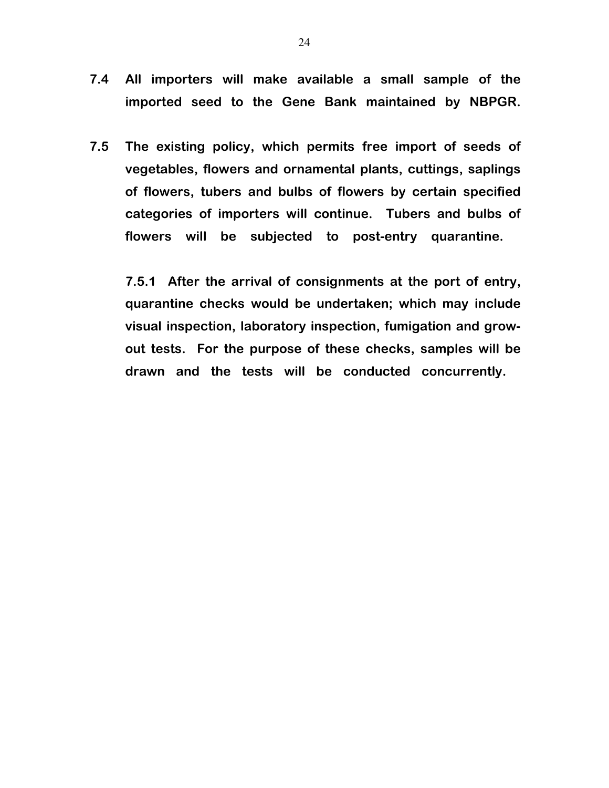- 7.4 All importers will make available a small sample of the imported seed to the Gene Bank maintained by NBPGR.
- 7.5 The existing policy, which permits free import of seeds of vegetables, flowers and ornamental plants, cuttings, saplings of flowers, tubers and bulbs of flowers by certain specified categories of importers will continue. Tubers and bulbs of flowers will be subjected to post-entry quarantine.

 7.5.1 After the arrival of consignments at the port of entry, quarantine checks would be undertaken; which may include visual inspection, laboratory inspection, fumigation and growout tests. For the purpose of these checks, samples will be drawn and the tests will be conducted concurrently.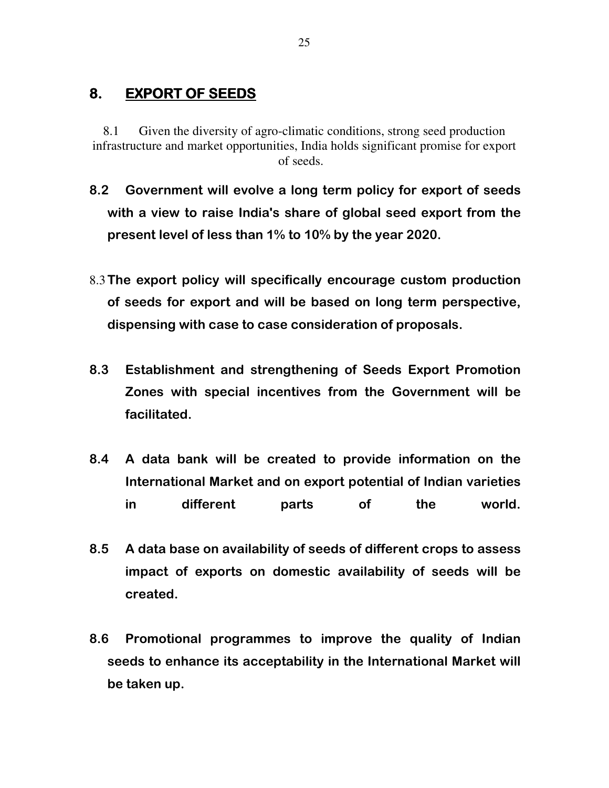## 8. EXPORT OF SEEDS

8.1 Given the diversity of agro-climatic conditions, strong seed production infrastructure and market opportunities, India holds significant promise for export of seeds.

- 8.2 Government will evolve a long term policy for export of seeds with a view to raise India's share of global seed export from the present level of less than 1% to 10% by the year 2020.
- 8.3The export policy will specifically encourage custom production of seeds for export and will be based on long term perspective, dispensing with case to case consideration of proposals.
- 8.3 Establishment and strengthening of Seeds Export Promotion Zones with special incentives from the Government will be facilitated.
- 8.4 A data bank will be created to provide information on the International Market and on export potential of Indian varieties in different parts of the world.
- 8.5 A data base on availability of seeds of different crops to assess impact of exports on domestic availability of seeds will be created.
- 8.6 Promotional programmes to improve the quality of Indian seeds to enhance its acceptability in the International Market will be taken up.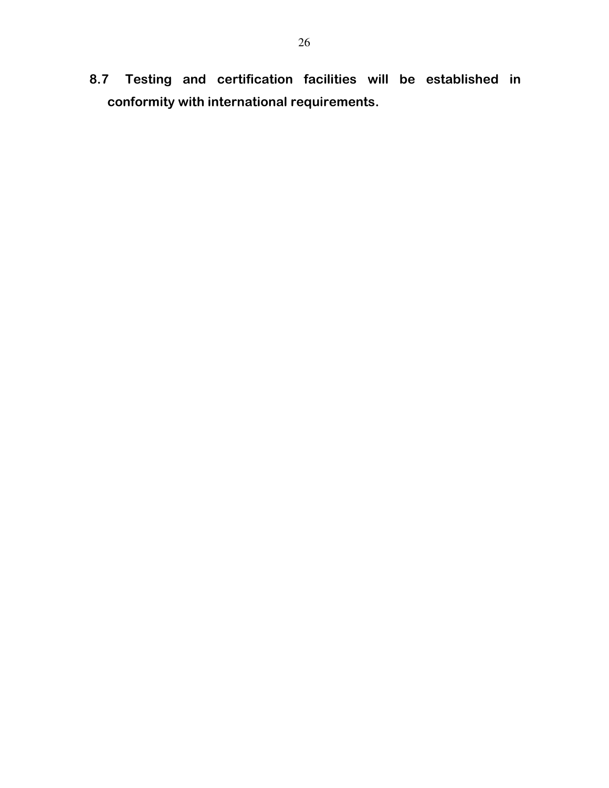8.7 Testing and certification facilities will be established in conformity with international requirements.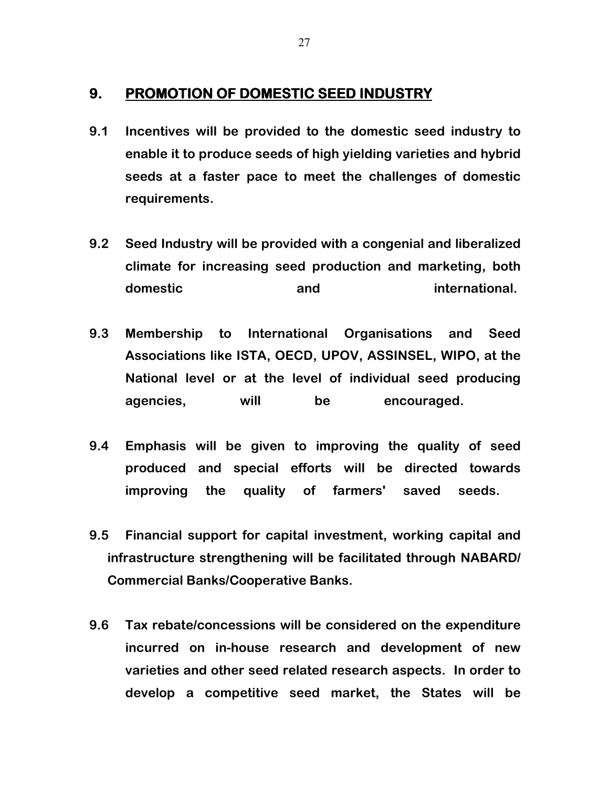#### 9. PROMOTION OF DOMESTIC SEED INDUSTRY

- 9.1 Incentives will be provided to the domestic seed industry to enable it to produce seeds of high yielding varieties and hybrid seeds at a faster pace to meet the challenges of domestic requirements.
- 9.2 Seed Industry will be provided with a congenial and liberalized climate for increasing seed production and marketing, both domestic and international.
- 9.3 Membership to International Organisations and Seed Associations like ISTA, OECD, UPOV, ASSINSEL, WIPO, at the National level or at the level of individual seed producing agencies, will be encouraged.
- 9.4 Emphasis will be given to improving the quality of seed produced and special efforts will be directed towards improving the quality of farmers' saved seeds.
- 9.5 Financial support for capital investment, working capital and infrastructure strengthening will be facilitated through NABARD/ Commercial Banks/Cooperative Banks.
- 9.6 Tax rebate/concessions will be considered on the expenditure incurred on in-house research and development of new varieties and other seed related research aspects. In order to develop a competitive seed market, the States will be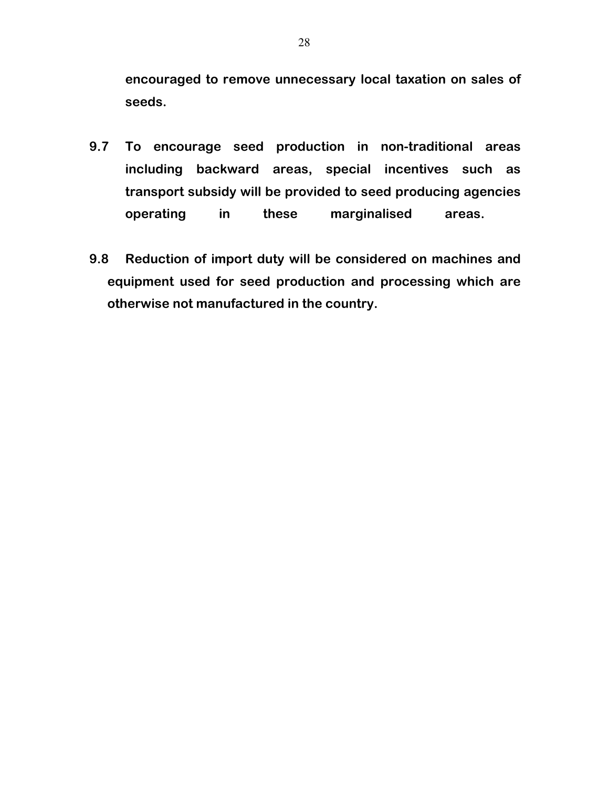encouraged to remove unnecessary local taxation on sales of seeds.

- 9.7 To encourage seed production in non-traditional areas including backward areas, special incentives such as transport subsidy will be provided to seed producing agencies operating in these marginalised areas.
- 9.8 Reduction of import duty will be considered on machines and equipment used for seed production and processing which are otherwise not manufactured in the country.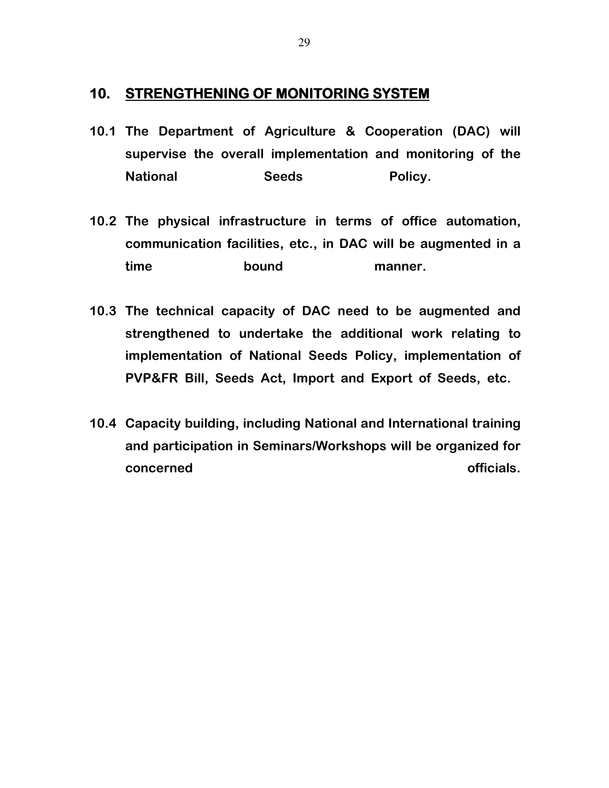#### 10. STRENGTHENING OF MONITORING SYSTEM

- 10.1 The Department of Agriculture & Cooperation (DAC) will supervise the overall implementation and monitoring of the National Seeds Policy.
- 10.2 The physical infrastructure in terms of office automation, communication facilities, etc., in DAC will be augmented in a time bound manner.
- 10.3 The technical capacity of DAC need to be augmented and strengthened to undertake the additional work relating to implementation of National Seeds Policy, implementation of PVP&FR Bill, Seeds Act, Import and Export of Seeds, etc.
- 10.4 Capacity building, including National and International training and participation in Seminars/Workshops will be organized for concerned **officials**.